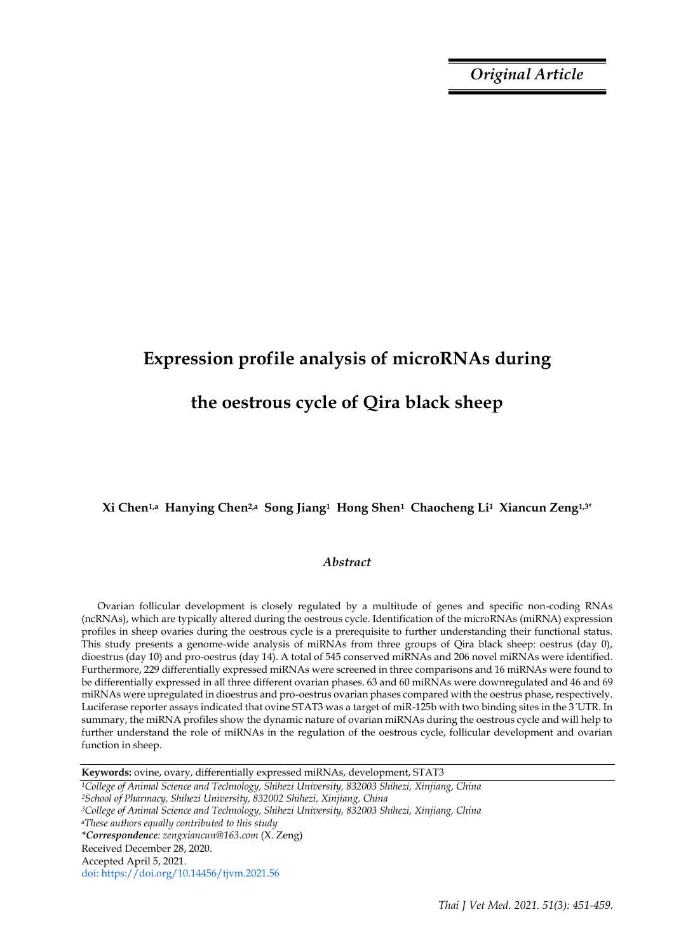*Original Article*

# **Expression profile analysis of microRNAs during**

## **the oestrous cycle of Qira black sheep**

## **Xi Chen1,a Hanying Chen2,a Song Jiang1 Hong Shen1 Chaocheng Li1 Xiancun Zeng1,3\***

## *Abstract*

Ovarian follicular development is closely regulated by a multitude of genes and specific non-coding RNAs (ncRNAs), which are typically altered during the oestrous cycle. Identification of the microRNAs (miRNA) expression profiles in sheep ovaries during the oestrous cycle is a prerequisite to further understanding their functional status. This study presents a genome-wide analysis of miRNAs from three groups of Qira black sheep: oestrus (day 0), dioestrus (day 10) and pro-oestrus (day 14). A total of 545 conserved miRNAs and 206 novel miRNAs were identified. Furthermore, 229 differentially expressed miRNAs were screened in three comparisons and 16 miRNAs were found to be differentially expressed in all three different ovarian phases. 63 and 60 miRNAs were downregulated and 46 and 69 miRNAs were upregulated in dioestrus and pro-oestrus ovarian phases compared with the oestrus phase, respectively. Luciferase reporter assays indicated that ovine STAT3 was a target of miR-125b with two binding sites in the 3ˊUTR. In summary, the miRNA profiles show the dynamic nature of ovarian miRNAs during the oestrous cycle and will help to further understand the role of miRNAs in the regulation of the oestrous cycle, follicular development and ovarian function in sheep.

**Keywords:** ovine, ovary, differentially expressed miRNAs, development, STAT3

*<sup>1</sup>College of Animal Science and Technology, Shihezi University, 832003 Shihezi, Xinjiang, China <sup>2</sup>School of Pharmacy, Shihezi University, 832002 Shihezi, Xinjiang, China <sup>3</sup>College of Animal Science and Technology, Shihezi University, 832003 Shihezi, Xinjiang, China <sup>a</sup>These authors equally contributed to this study \*Correspondence: zengxiancun@163.com* (X. Zeng) Received December 28, 2020. Accepted April 5, 2021. doi: https://doi.org/10.14456/tjvm.2021.56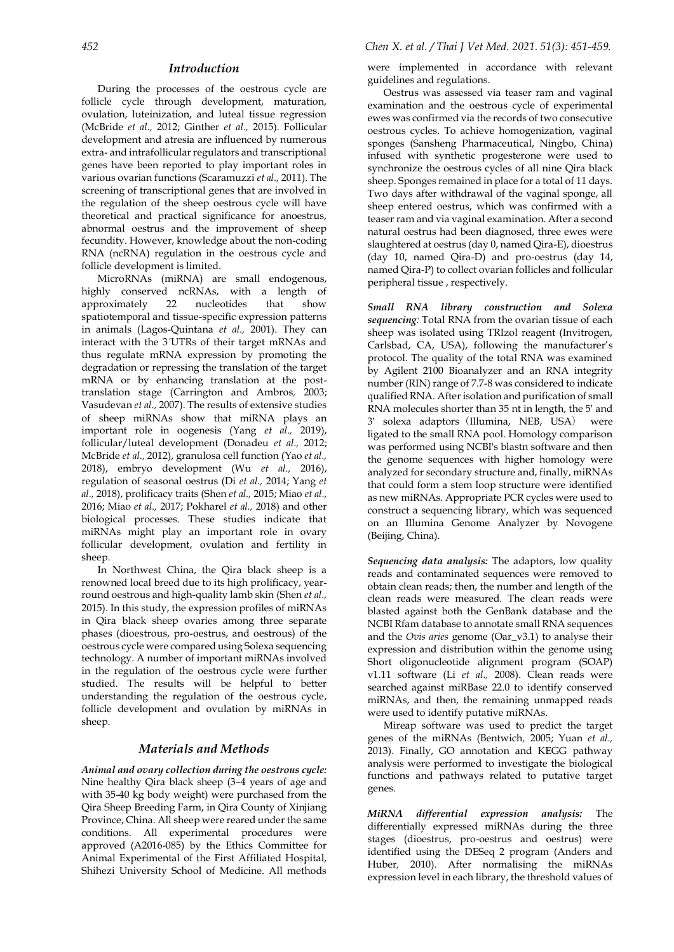## *Introduction*

During the processes of the oestrous cycle are follicle cycle through development, maturation, ovulation, luteinization, and luteal tissue regression (McBride *et al.,* 2012; Ginther *et al.,* 2015). Follicular development and atresia are influenced by numerous extra- and intrafollicular regulators and transcriptional genes have been reported to play important roles in various ovarian functions (Scaramuzzi *et al.,* 2011). The screening of transcriptional genes that are involved in the regulation of the sheep oestrous cycle will have theoretical and practical significance for anoestrus, abnormal oestrus and the improvement of sheep fecundity. However, knowledge about the non-coding RNA (ncRNA) regulation in the oestrous cycle and follicle development is limited.

MicroRNAs (miRNA) are small endogenous, highly conserved ncRNAs, with a length of approximately 22 nucleotides that show spatiotemporal and tissue-specific expression patterns in animals (Lagos-Quintana *et al.,* 2001). They can interact with the 3ˊUTRs of their target mRNAs and thus regulate mRNA expression by promoting the degradation or repressing the translation of the target mRNA or by enhancing translation at the posttranslation stage (Carrington and Ambros*,* 2003; Vasudevan *et al.,* 2007). The results of extensive studies of sheep miRNAs show that miRNA plays an important role in oogenesis (Yang *et al.,* 2019), follicular/luteal development (Donadeu *et al.,* 2012; McBride *et al.,* 2012), granulosa cell function (Yao *et al.,* 2018), embryo development (Wu *et al.,* 2016), regulation of seasonal oestrus (Di *et al.,* 2014; Yang *et al.,* 2018), prolificacy traits (Shen *et al.,* 2015; Miao *et al.,* 2016; Miao *et al.,* 2017; Pokharel *et al.,* 2018) and other biological processes. These studies indicate that miRNAs might play an important role in ovary follicular development, ovulation and fertility in sheep.

In Northwest China, the Qira black sheep is a renowned local breed due to its high prolificacy, yearround oestrous and high-quality lamb skin (Shen *et al.,* 2015). In this study, the expression profiles of miRNAs in Qira black sheep ovaries among three separate phases (dioestrous, pro-oestrus, and oestrous) of the oestrous cycle were compared using Solexa sequencing technology. A number of important miRNAs involved in the regulation of the oestrous cycle were [further](javascript:;)  [studied.](javascript:;) The results will be helpful to better understanding the regulation of the oestrous cycle, follicle development and ovulation by miRNAs in sheep.

## *Materials and Methods*

*Animal and ovary collection during the oestrous cycle:* Nine healthy Qira black sheep (3–4 years of age and with 35-40 kg body weight) were purchased from the Qira Sheep Breeding Farm, in Qira County of Xinjiang Province, China. All sheep were reared under the same conditions. All experimental procedures were approved (A2016-085) by the Ethics Committee for Animal Experimental of the First Affiliated Hospital, Shihezi University School of Medicine. All methods were implemented in accordance with relevant guidelines and regulations.

Oestrus was assessed via teaser ram and vaginal examination and the oestrous cycle of experimental ewes was confirmed via the records of two consecutive oestrous cycles. To achieve homogenization, vaginal sponges (Sansheng Pharmaceutical, Ningbo, China) infused with synthetic progesterone were used to synchronize the oestrous cycles of all nine Qira black sheep. Sponges remained in place for a total of 11 days. Two days after withdrawal of the vaginal sponge, all sheep entered oestrus, which was confirmed with a teaser ram and via vaginal examination. After a second natural oestrus had been diagnosed, three ewes were slaughtered at oestrus (day 0, named Qira-E), dioestrus (day 10, named Qira-D) and pro-oestrus (day 14, named Qira-P) to collect ovarian follicles and follicular peripheral tissue , respectively.

*Small RNA library construction and Solexa sequencing:* Total RNA from the ovarian tissue of each sheep was isolated using TRIzol reagent (Invitrogen, Carlsbad, CA, USA), following the manufacturer's protocol. The quality of the total RNA was examined by Agilent 2100 Bioanalyzer and an RNA integrity number (RIN) range of 7.7-8 was considered to indicate qualified RNA. After isolation and purification of small RNA molecules shorter than 35 nt in length, the 5′ and 3′ solexa adaptors(Illumina, NEB, USA) were ligated to the small RNA pool. Homology comparison was performed using NCBI's blastn software and then the genome sequences with higher homology were analyzed for secondary structure and, finally, miRNAs that could form a stem loop structure were identified as new miRNAs. Appropriate PCR cycles were used to construct a sequencing library, which was sequenced on an Illumina Genome Analyzer by Novogene (Beijing, China).

*Sequencing data analysis:* The adaptors, low quality reads and contaminated sequences were removed to obtain clean reads; then, the number and length of the clean reads were measured. The clean reads were blasted against both the GenBank database and the NCBI Rfam database to annotate small RNA sequences and the *Ovis aries* genome (Oar\_v3.1) to analyse their expression and distribution within the genome using Short oligonucleotide alignment program (SOAP) v1.11 software (Li *et al.,* 2008). Clean reads were searched against miRBase 22.0 to identify conserved miRNAs, and then, the remaining unmapped reads were used to identify putative miRNAs.

Mireap software was used to predict the target genes of the miRNAs (Bentwich*,* 2005; Yuan *et al.,* 2013). Finally, GO annotation and KEGG pathway analysis were performed to investigate the biological functions and pathways related to putative target genes.

*MiRNA differential expression analysis:* The differentially expressed miRNAs during the three stages (dioestrus, pro-oestrus and oestrus) were identified using the DESeq 2 program (Anders and Huber*,* 2010). After normalising the miRNAs expression level in each library, the threshold values of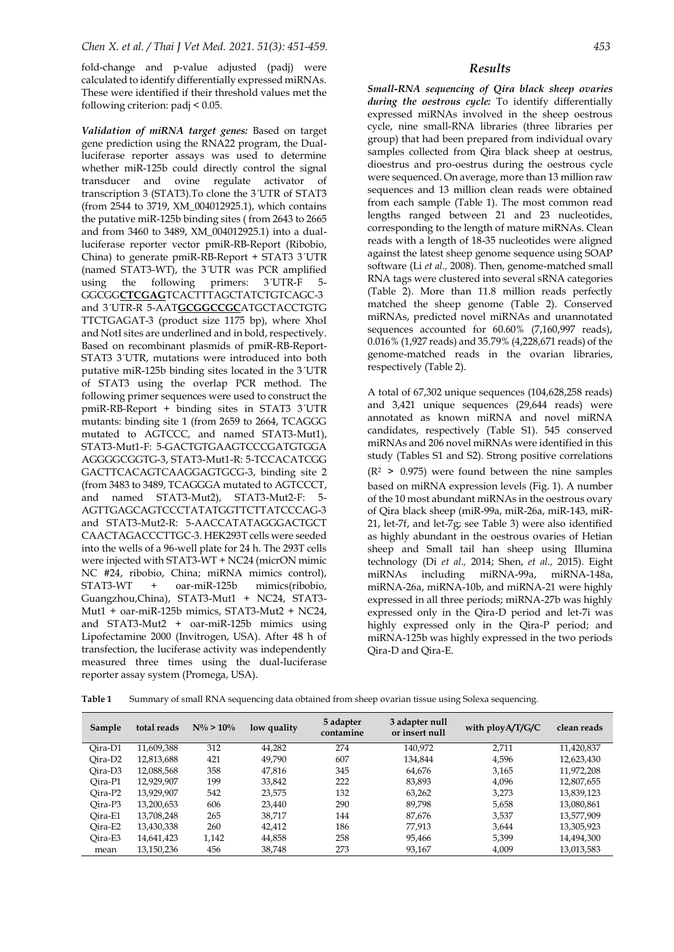fold-change and p-value adjusted (padj) were calculated to identify differentially expressed miRNAs. These were identified if their threshold values met the following criterion: padj < 0.05.

*Validation of miRNA target genes:* Based on target gene prediction using the RNA22 program, the Dualluciferase reporter assays was used to determine whether miR-125b could directly control the signal transducer and ovine regulate activator of transcription 3 (STAT3).To clone the 3ˊUTR of STAT3 (from 2544 to 3719, XM\_004012925.1), which contains the putative miR-125b binding sites ( from 2643 to 2665 and from 3460 to 3489, XM\_004012925.1) into a dualluciferase reporter vector pmiR-RB-Report (Ribobio, China) to generate pmiR-RB-Report + STAT3 3ˊUTR (named STAT3-WT), the 3ˊUTR was PCR amplified using the following primers:  $3'UTR-F = 5-$ GGCGG**CTCGAG**TCACTTTAGCTATCTGTCAGC-3 and 3ˊUTR-R 5-AAT**GCGGCCGC**ATGCTACCTGTG TTCTGAGAT-3 (product size 1175 bp), where XhoI and NotI sites are underlined and in bold, respectively. Based on recombinant plasmids of pmiR-RB-Report-STAT3 3<sup>UTR</sup>, mutations were introduced into both putative miR-125b binding sites located in the 3ˊUTR of STAT3 using the overlap PCR method. The following primer sequences were used to construct the pmiR-RB-Report + binding sites in STAT3 3ˊUTR mutants: binding site 1 (from 2659 to 2664, TCAGGG mutated to AGTCCC, and named STAT3-Mut1), STAT3-Mut1-F: 5-GACTGTGAAGTCCCGATGTGGA AGGGGCGGTG-3, STAT3-Mut1-R: 5-TCCACATCGG GACTTCACAGTCAAGGAGTGCG-3, binding site 2 (from 3483 to 3489, TCAGGGA mutated to AGTCCCT, and named STAT3-Mut2), STAT3-Mut2-F: 5- AGTTGAGCAGTCCCTATATGGTTCTTATCCCAG-3 and STAT3-Mut2-R: 5-AACCATATAGGGACTGCT CAACTAGACCCTTGC-3. HEK293T cells were seeded into the wells of a 96-well plate for 24 h. The 293T cells were injected with STAT3-WT + NC24 [\(micrON mimic](https://www.ribobio.com/product_detail/?sku=miR1N0000002-1-10)  [NC #24,](https://www.ribobio.com/product_detail/?sku=miR1N0000002-1-10) ribobio, China; miRNA mimics control), STAT3-WT + oar-miR-125b mimics(ribobio, Guangzhou,China), STAT3-Mut1 + NC24, STAT3- Mut1 + oar-miR-125b mimics, STAT3-Mut2 + NC24, and STAT3-Mut2 + oar-miR-125b mimics using Lipofectamine 2000 (Invitrogen, USA). After 48 h of transfection, the luciferase activity was independently measured three times using the dual-luciferase reporter assay system (Promega, USA).

*Small-RNA sequencing of Qira black sheep ovaries during the oestrous cycle:* To identify differentially expressed miRNAs involved in the sheep oestrous cycle, nine small-RNA libraries (three libraries per group) that had been prepared from individual ovary samples collected from Qira black sheep at oestrus, dioestrus and pro-oestrus during the oestrous cycle were sequenced. On average, more than 13 million raw sequences and 13 million clean reads were obtained from each sample (Table 1). The most common read lengths ranged between 21 and 23 nucleotides, corresponding to the length of mature miRNAs. Clean reads with a length of 18-35 nucleotides were aligned against the latest sheep genome sequence using SOAP software (Li *et al.,* 2008). Then, genome-matched small RNA tags were clustered into several sRNA categories (Table 2). More than 11.8 million reads perfectly matched the sheep genome (Table 2). Conserved miRNAs, predicted novel miRNAs and unannotated sequences accounted for 60.60% (7,160,997 reads), 0.016% (1,927 reads) and 35.79% (4,228,671 reads) of the genome-matched reads in the ovarian libraries, respectively (Table 2).

A total of 67,302 unique sequences (104,628,258 reads) and 3,421 unique sequences (29,644 reads) were annotated as known miRNA and novel miRNA candidates, respectively (Table S1). 545 conserved miRNAs and 206 novel miRNAs were identified in this study (Tables S1 and S2). Strong positive correlations  $(R<sup>2</sup> > 0.975)$  were found between the nine samples based on miRNA expression levels (Fig. 1). A number of the 10 most abundant miRNAs in the oestrous ovary of Qira black sheep (miR-99a, miR-26a, miR-143, miR-21, let-7f, and let-7g; see Table 3) were also identified as highly abundant in the oestrous ovaries of Hetian sheep and Small tail han sheep using Illumina technology (Di *et al.,* 2014; Shen, *et al.,* 2015). Eight miRNAs including miRNA-99a, miRNA-148a, miRNA-26a, miRNA-10b, and miRNA-21 were highly expressed in all three periods; miRNA-27b was highly expressed only in the Qira-D period and let-7i was highly expressed only in the Qira-P period; and miRNA-125b was highly expressed in the two periods Qira-D and Qira-E.

**Table 1** Summary of small RNA sequencing data obtained from sheep ovarian tissue using Solexa sequencing.

| Sample              | total reads | $N\% > 10\%$ | low quality | 5 adapter<br>contamine | 3 adapter null<br>or insert null | with $\frac{p \log A}{T/G/C}$ | clean reads |
|---------------------|-------------|--------------|-------------|------------------------|----------------------------------|-------------------------------|-------------|
| Oira-D1             | 11.609.388  | 312          | 44,282      | 274                    | 140.972                          | 2.711                         | 11,420,837  |
| Oira-D <sub>2</sub> | 12,813,688  | 421          | 49.790      | 607                    | 134.844                          | 4,596                         | 12,623,430  |
| Oira-D <sub>3</sub> | 12.088.568  | 358          | 47.816      | 345                    | 64.676                           | 3.165                         | 11,972,208  |
| Oira-P1             | 12,929,907  | 199          | 33,842      | 222                    | 83,893                           | 4,096                         | 12,807,655  |
| Oira-P <sub>2</sub> | 13,929,907  | 542          | 23,575      | 132                    | 63.262                           | 3.273                         | 13,839,123  |
| Oira-P3             | 13,200,653  | 606          | 23,440      | 290                    | 89.798                           | 5.658                         | 13.080.861  |
| Oira-E1             | 13,708,248  | 265          | 38.717      | 144                    | 87.676                           | 3.537                         | 13,577,909  |
| Oira-E2             | 13,430,338  | 260          | 42,412      | 186                    | 77.913                           | 3.644                         | 13,305,923  |
| Oira-E3             | 14,641,423  | 1.142        | 44,858      | 258                    | 95,466                           | 5.399                         | 14,494,300  |
| mean                | 13,150,236  | 456          | 38,748      | 273                    | 93.167                           | 4.009                         | 13,013,583  |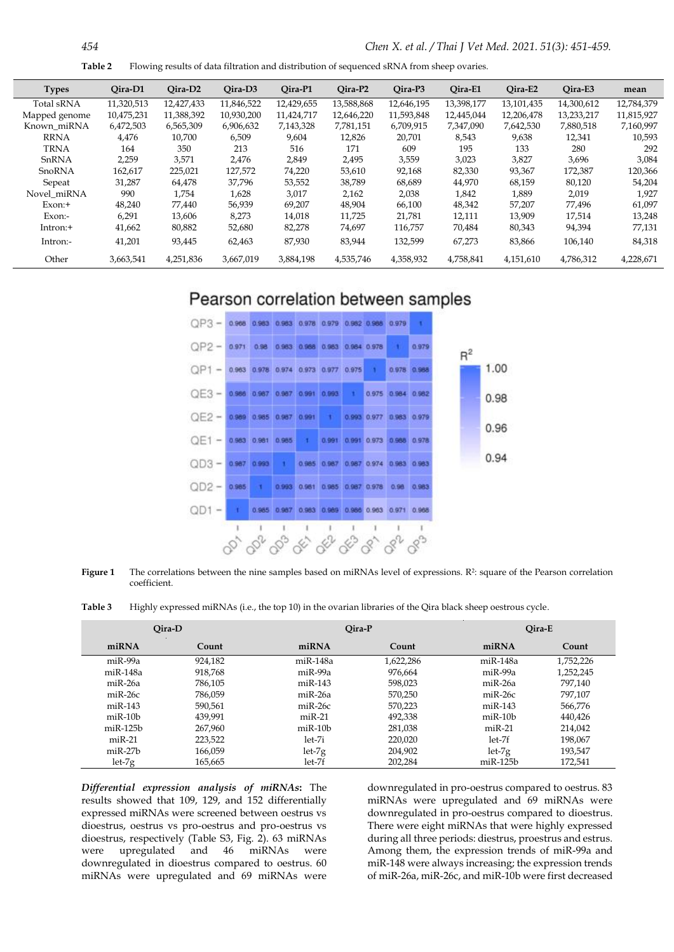**Table 2** Flowing results of data filtration and distribution of sequenced sRNA from sheep ovaries.

| <b>Types</b>  | Oira-D1    | Oira-D <sub>2</sub> | Oira-D <sub>3</sub> | Qira-P1    | Oira-P2    | Oira-P3    | Oira-E1    | Qira-E2    | Oira-E3    | mean       |
|---------------|------------|---------------------|---------------------|------------|------------|------------|------------|------------|------------|------------|
| Total sRNA    | 11,320,513 | 12.427.433          | 11,846,522          | 12,429,655 | 13,588,868 | 12,646,195 | 13,398,177 | 13.101.435 | 14,300,612 | 12.784.379 |
| Mapped genome | 10,475,231 | 11,388,392          | 10.930.200          | 11,424,717 | 12,646,220 | 11,593,848 | 12,445,044 | 12,206,478 | 13,233,217 | 11,815,927 |
| Known_miRNA   | 6,472,503  | 6,565,309           | 6,906,632           | 7,143,328  | 7,781,151  | 6,709,915  | 7,347,090  | 7,642,530  | 7,880,518  | 7,160,997  |
| <b>RRNA</b>   | 4,476      | 10,700              | 6,509               | 9,604      | 12,826     | 20,701     | 8,543      | 9,638      | 12,341     | 10.593     |
| <b>TRNA</b>   | 164        | 350                 | 213                 | 516        | 171        | 609        | 195        | 133        | 280        | 292        |
| SnRNA         | 2,259      | 3,571               | 2.476               | 2,849      | 2,495      | 3,559      | 3,023      | 3,827      | 3,696      | 3,084      |
| SnoRNA        | 162,617    | 225,021             | 127,572             | 74,220     | 53,610     | 92,168     | 82,330     | 93,367     | 172,387    | 120,366    |
| Sepeat        | 31,287     | 64,478              | 37,796              | 53,552     | 38,789     | 68,689     | 44,970     | 68,159     | 80,120     | 54,204     |
| Novel miRNA   | 990        | 1,754               | 1,628               | 3,017      | 2,162      | 2,038      | 1,842      | 1,889      | 2,019      | 1,927      |
| $Exon:+$      | 48,240     | 77.440              | 56,939              | 69,207     | 48,904     | 66,100     | 48,342     | 57,207     | 77,496     | 61,097     |
| Exon:-        | 6,291      | 13,606              | 8.273               | 14,018     | 11,725     | 21,781     | 12,111     | 13,909     | 17,514     | 13,248     |
| Intron:+      | 41,662     | 80,882              | 52,680              | 82,278     | 74,697     | 116,757    | 70,484     | 80,343     | 94,394     | 77,131     |
| Intron:-      | 41,201     | 93,445              | 62,463              | 87,930     | 83,944     | 132,599    | 67,273     | 83,866     | 106,140    | 84,318     |
| Other         | 3,663,541  | 4,251,836           | 3,667,019           | 3,884,198  | 4,535,746  | 4,358,932  | 4,758,841  | 4,151,610  | 4,786,312  | 4,228,671  |
|               |            |                     |                     |            |            |            |            |            |            |            |

## Pearson correlation between samples



**Figure 1** The correlations between the nine samples based on miRNAs level of expressions. R<sup>2</sup>: square of the Pearson correlation coefficient.

**Table 3** Highly expressed miRNAs (i.e., the top 10) in the ovarian libraries of the Qira black sheep oestrous cycle.

|               | Oira-D  |               | Qira-P    | Oira-E         |           |  |
|---------------|---------|---------------|-----------|----------------|-----------|--|
| miRNA         | Count   | miRNA         | Count     | miRNA          | Count     |  |
| $miR-99a$     | 924,182 | $miR-148a$    | 1,622,286 | $miR-148a$     | 1,752,226 |  |
| miR-148a      | 918,768 | $miR-99a$     | 976.664   | miR-99a        | 1,252,245 |  |
| $miR-26a$     | 786.105 | $miR-143$     | 598.023   | miR-26a        | 797.140   |  |
| $miR-26c$     | 786.059 | $miR-26a$     | 570.250   | $miR-26c$      | 797.107   |  |
| $miR-143$     | 590.561 | $miR-26c$     | 570.223   | $miR-143$      | 566.776   |  |
| $m$ i $R-10b$ | 439.991 | $miR-21$      | 492,338   | $m$ i $R-10b$  | 440,426   |  |
| $miR-125b$    | 267,960 | $m$ i $R-10b$ | 281,038   | $miR-21$       | 214,042   |  |
| $miR-21$      | 223,522 | $let-7i$      | 220.020   | let-7f         | 198.067   |  |
| $miR-27b$     | 166,059 | $let-7g$      | 204.902   | $let-7g$       | 193,547   |  |
| $let-7g$      | 165,665 | let-7f        | 202,284   | $m$ i $R-125b$ | 172,541   |  |

*Differential expression analysis of miRNAs***:** The results showed that 109, 129, and 152 differentially expressed miRNAs were screened between oestrus vs dioestrus, oestrus vs pro-oestrus and pro-oestrus vs dioestrus, respectively (Table S3, Fig. 2). 63 miRNAs were upregulated and 46 miRNAs were downregulated in dioestrus compared to oestrus. 60 miRNAs were upregulated and 69 miRNAs were

downregulated in pro-oestrus compared to oestrus. 83 miRNAs were upregulated and 69 miRNAs were downregulated in pro-oestrus compared to dioestrus. There were eight miRNAs that were highly expressed during all three periods: diestrus, proestrus and estrus. Among them, the expression trends of miR-99a and miR-148 were always increasing; the expression trends of miR-26a, miR-26c, and miR-10b were first decreased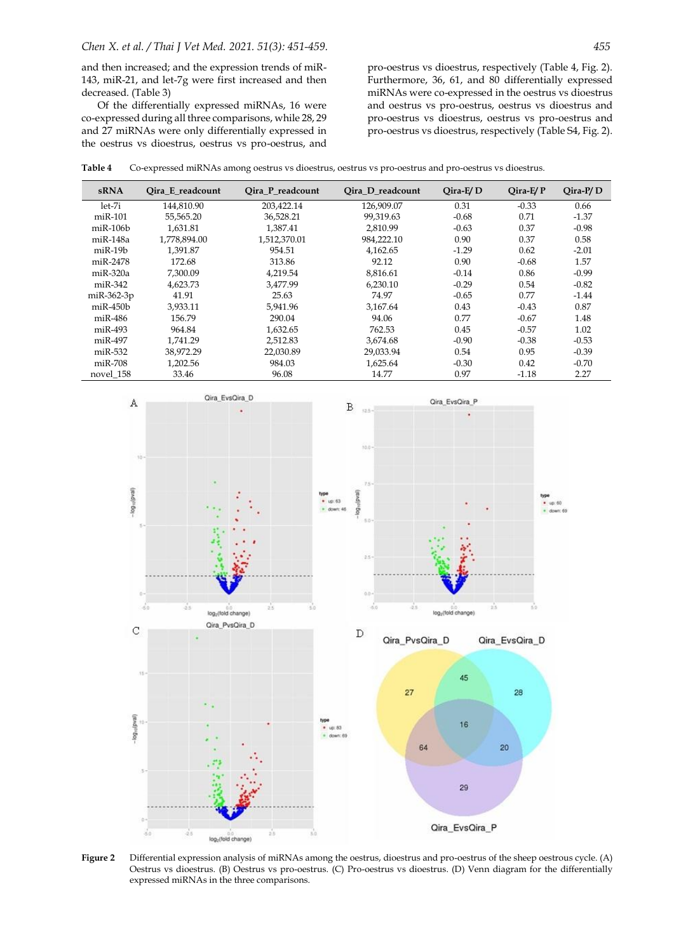and then increased; and the expression trends of miR-143, miR-21, and let-7g were first increased and then decreased. (Table 3)

Of the differentially expressed miRNAs, 16 were co-expressed during all three comparisons, while 28, 29 and 27 miRNAs were only differentially expressed in the oestrus vs dioestrus, oestrus vs pro-oestrus, and

pro-oestrus vs dioestrus, respectively (Table 4, Fig. 2). Furthermore, 36, 61, and 80 differentially expressed miRNAs were co-expressed in the oestrus vs dioestrus and oestrus vs pro-oestrus, oestrus vs dioestrus and pro-oestrus vs dioestrus, oestrus vs pro-oestrus and pro-oestrus vs dioestrus, respectively (Table S4, Fig. 2).

**Table 4** Co-expressed miRNAs among oestrus vs dioestrus, oestrus vs pro-oestrus and pro-oestrus vs dioestrus.

| <b>sRNA</b>    | Oira E readcount | Oira P readcount | Oira D readcount | $Q$ ira-E $/D$ | $Oira-E/P$ | $Qira-P/D$ |
|----------------|------------------|------------------|------------------|----------------|------------|------------|
| $let-7i$       | 144,810.90       | 203,422.14       | 126,909.07       | 0.31           | $-0.33$    | 0.66       |
| $miR-101$      | 55,565.20        | 36,528.21        | 99.319.63        | $-0.68$        | 0.71       | $-1.37$    |
| $miR-106b$     | 1.631.81         | 1.387.41         | 2.810.99         | $-0.63$        | 0.37       | $-0.98$    |
| $miR-148a$     | 1.778.894.00     | 1,512,370.01     | 984,222.10       | 0.90           | 0.37       | 0.58       |
| $miR-19b$      | 1,391.87         | 954.51           | 4.162.65         | $-1.29$        | 0.62       | $-2.01$    |
| miR-2478       | 172.68           | 313.86           | 92.12            | 0.90           | $-0.68$    | 1.57       |
| $miR-320a$     | 7,300.09         | 4,219.54         | 8,816.61         | $-0.14$        | 0.86       | $-0.99$    |
| $miR-342$      | 4,623.73         | 3.477.99         | 6,230.10         | $-0.29$        | 0.54       | $-0.82$    |
| $miR-362-3p$   | 41.91            | 25.63            | 74.97            | $-0.65$        | 0.77       | $-1.44$    |
| $m$ i $R-450b$ | 3,933.11         | 5,941.96         | 3,167.64         | 0.43           | $-0.43$    | 0.87       |
| $miR-486$      | 156.79           | 290.04           | 94.06            | 0.77           | $-0.67$    | 1.48       |
| $miR-493$      | 964.84           | 1,632.65         | 762.53           | 0.45           | $-0.57$    | 1.02       |
| $miR-497$      | 1,741.29         | 2,512.83         | 3,674.68         | $-0.90$        | $-0.38$    | $-0.53$    |
| $miR-532$      | 38,972.29        | 22,030.89        | 29,033.94        | 0.54           | 0.95       | $-0.39$    |
| $miR-708$      | 1,202.56         | 984.03           | 1,625.64         | $-0.30$        | 0.42       | $-0.70$    |
| novel 158      | 33.46            | 96.08            | 14.77            | 0.97           | $-1.18$    | 2.27       |



**Figure 2** Differential expression analysis of miRNAs among the oestrus, dioestrus and pro-oestrus of the sheep oestrous cycle. (A) Oestrus vs dioestrus. (B) Oestrus vs pro-oestrus. (C) Pro-oestrus vs dioestrus. (D) Venn diagram for the differentially expressed miRNAs in the three comparisons.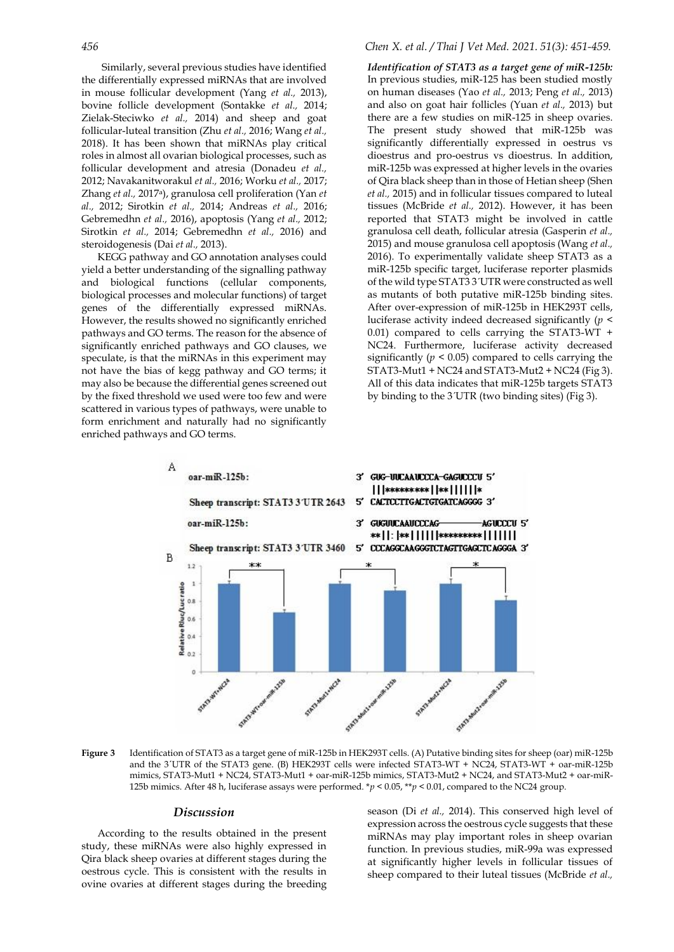Similarly, several previous studies have identified the differentially expressed miRNAs that are involved in mouse follicular development (Yang *et al.,* 2013), bovine follicle development (Sontakke *et al.,* 2014; Zielak-Steciwko *et al.,* 2014) and sheep and goat follicular-luteal transition (Zhu *et al.,* 2016; Wang *et al.,* 2018). It has been shown that miRNAs play critical roles in almost all ovarian biological processes, such as follicular development and atresia (Donadeu *et al.,* 2012; Navakanitworakul *et al.,* 2016; Worku *et al.,* 2017; Zhang *et al.,* 2017a), granulosa cell proliferation (Yan *et al.,* 2012; Sirotkin *et al.,* 2014; Andreas *et al.,* 2016; Gebremedhn *et al.,* 2016), apoptosis (Yang *et al.,* 2012; Sirotkin *et al.,* 2014; Gebremedhn *et al.,* 2016) and steroidogenesis (Dai *et al.,* 2013).

KEGG pathway and GO annotation analyses could yield a better understanding of the signalling pathway and biological functions (cellular components, biological processes and molecular functions) of target genes of the differentially expressed miRNAs. However, the results showed no significantly enriched pathways and GO terms. The reason for the absence of significantly enriched pathways and GO clauses, we speculate, is that the miRNAs in this experiment may not have the bias of kegg pathway and GO terms; it may also be because the differential genes screened out by the fixed threshold we used were too few and were scattered in various types of pathways, were unable to form enrichment and naturally had no significantly enriched pathways and GO terms.

### *456 Chen X. et al. / Thai J Vet Med. 2021. 51(3): 451-459.*

*Identification of STAT3 as a target gene of miR-125b:* In previous studies, miR-125 has been studied mostly on human diseases (Yao *et al.,* 2013; Peng *et al.,* 2013) and also on goat hair follicles (Yuan *et al.,* 2013) but there are a few studies on miR-125 in sheep ovaries. The present study showed that miR-125b was significantly differentially expressed in oestrus vs dioestrus and pro-oestrus vs dioestrus. In addition, miR-125b was expressed at higher levels in the ovaries of Qira black sheep than in those of Hetian sheep (Shen *et al.,* 2015) and in follicular tissues compared to luteal tissues (McBride *et al.,* 2012). However, it has been reported that STAT3 might be involved in cattle granulosa cell death, follicular atresia (Gasperin *et al.,* 2015) and mouse granulosa cell apoptosis (Wang *et al.,* 2016). To experimentally validate sheep STAT3 as a miR-125b specific target, luciferase reporter plasmids of the wild type STAT3 3<sup>'</sup>UTR were constructed as well as mutants of both putative miR-125b binding sites. After over-expression of miR-125b in HEK293T cells, luciferase activity indeed decreased significantly (*p* < 0.01) compared to cells carrying the STAT3-WT + NC24. Furthermore, luciferase activity decreased significantly ( $p < 0.05$ ) compared to cells carrying the STAT3-Mut1 + NC24 and STAT3-Mut2 + NC24 (Fig 3). All of this data indicates that miR-125b targets STAT3 by binding to the 3ˊUTR (two binding sites) (Fig 3).



**Figure 3** Identification of STAT3 as a target gene of miR-125b in HEK293T cells. (A) Putative binding sites for sheep (oar) miR-125b and the 3ˊUTR of the STAT3 gene. (B) HEK293T cells were infected STAT3-WT + NC24, STAT3-WT + oar-miR-125b mimics, STAT3-Mut1 + NC24, STAT3-Mut1 + oar-miR-125b mimics, STAT3-Mut2 + NC24, and STAT3-Mut2 + oar-miR-125b mimics. After 48 h, luciferase assays were performed.  $*p < 0.05$ ,  $*p < 0.01$ , compared to the NC24 group.

## *Discussion*

According to the results obtained in the present study, these miRNAs were also highly expressed in Qira black sheep ovaries at different stages during the oestrous cycle. This is consistent with the results in ovine ovaries at different stages during the breeding

season (Di *et al.,* 2014). This conserved high level of expression across the oestrous cycle suggests that these miRNAs may play important roles in sheep ovarian function. In previous studies, miR-99a was expressed at significantly higher levels in follicular tissues of sheep compared to their luteal tissues (McBride *et al.,*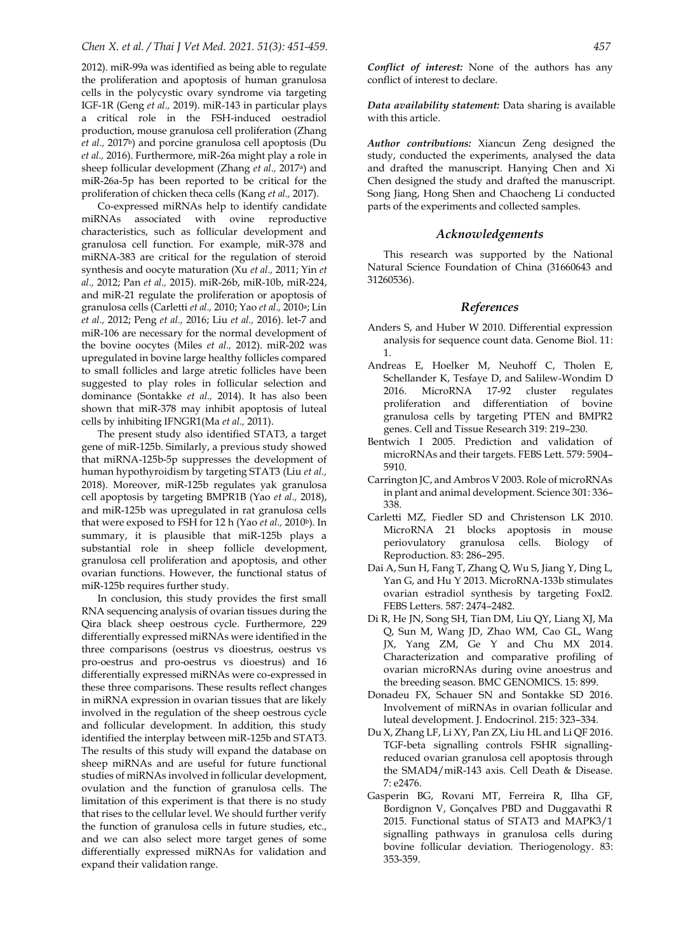2012). miR-99a was identified as being able to regulate the proliferation and apoptosis of human granulosa cells in the polycystic ovary syndrome via targeting IGF-1R (Geng *et al.,* 2019). miR-143 in particular plays a critical role in the FSH-induced oestradiol production, mouse granulosa cell proliferation (Zhang *et al.,* 2017b) and porcine granulosa cell apoptosis (Du *et al.,* 2016). Furthermore, miR-26a might play a role in sheep follicular development (Zhang *et al.,* 2017a) and miR-26a-5p has been reported to be critical for the proliferation of chicken theca cells (Kang *et al.,* 2017).

Co-expressed miRNAs help to identify candidate miRNAs associated with ovine reproductive characteristics, such as follicular development and granulosa cell function. For example, miR-378 and miRNA-383 are critical for the regulation of steroid synthesis and oocyte maturation (Xu *et al.,* 2011; Yin *et al.,* 2012; Pan *et al.,* 2015). miR-26b, miR-10b, miR-224, and miR-21 regulate the proliferation or apoptosis of granulosa cells (Carletti *et al.,* 2010; Yao *et al.,* 2010a; Lin *et al.,* 2012; Peng *et al.,* 2016; Liu *et al.,* 2016). let-7 and miR-106 are necessary for the normal development of the bovine oocytes (Miles *et al.,* 2012). miR-202 was upregulated in bovine large healthy follicles compared to small follicles and large atretic follicles have been suggested to play roles in follicular selection and dominance (Sontakke *et al.,* 2014). It has also been shown that miR-378 may inhibit apoptosis of luteal cells by inhibiting IFNGR1(Ma *et al.,* 2011).

The present study also identified STAT3, a target gene of miR-125b. Similarly, a previous study showed that miRNA-125b-5p suppresses the development of human hypothyroidism by targeting STAT3 (Liu *et al.,* 2018). Moreover, miR-125b regulates yak granulosa cell apoptosis by targeting BMPR1B (Yao *et al.,* 2018), and miR-125b was upregulated in rat granulosa cells that were exposed to FSH for 12 h (Yao *et al.,* 2010<sup>b</sup>). In summary, it is plausible that miR-125b plays a substantial role in sheep follicle development, granulosa cell proliferation and apoptosis, and other ovarian functions. However, the functional status of miR-125b requires further study.

In conclusion, this study provides the first small RNA sequencing analysis of ovarian tissues during the Qira black sheep oestrous cycle. Furthermore, 229 differentially expressed miRNAs were identified in the three comparisons (oestrus vs dioestrus, oestrus vs pro-oestrus and pro-oestrus vs dioestrus) and 16 differentially expressed miRNAs were co-expressed in these three comparisons. These results reflect changes in miRNA expression in ovarian tissues that are likely involved in the regulation of the sheep oestrous cycle and follicular development. In addition, this study identified the interplay between miR-125b and STAT3. The results of this study will expand the database on sheep miRNAs and are useful for future functional studies of miRNAs involved in follicular development, ovulation and the function of granulosa cells. The limitation of this experiment is that there is no study that rises to the cellular level. We should further verify the function of granulosa cells in future studies, etc., and we can also select more target genes of some differentially expressed miRNAs for validation and expand their validation range.

*Conflict of interest:* None of the authors has any conflict of interest to declare.

*Data availability statement:* Data sharing is available with this article.

*Author contributions:* Xiancun Zeng designed the study, conducted the experiments, analysed the data and drafted the manuscript. Hanying Chen and Xi Chen designed the study and drafted the manuscript. Song Jiang, Hong Shen and Chaocheng Li conducted parts of the experiments and collected samples.

## *Acknowledgements*

This research was supported by the National Natural Science Foundation of China (31660643 and 31260536).

#### *References*

- Anders S, and Huber W 2010. Differential expression analysis for sequence count data. Genome Biol. 11: 1.
- Andreas E, Hoelker M, Neuhoff C, Tholen E, Schellander K, Tesfaye D, and Salilew-Wondim D 2016. MicroRNA 17-92 cluster regulates proliferation and differentiation of bovine granulosa cells by targeting PTEN and BMPR2 genes. Cell and Tissue Research 319: 219–230.
- Bentwich I 2005. Prediction and validation of microRNAs and their targets. FEBS Lett. 579: 5904– 5910.
- Carrington JC, and Ambros V 2003. Role of microRNAs in plant and animal development. Science 301: 336– 338.
- Carletti MZ, Fiedler SD and Christenson LK 2010. MicroRNA 21 blocks apoptosis in mouse periovulatory granulosa cells. Biology of Reproduction. 83: 286–295.
- Dai A, Sun H, Fang T, Zhang Q, Wu S, Jiang Y, Ding L, Yan G, and Hu Y 2013. MicroRNA-133b stimulates ovarian estradiol synthesis by targeting Foxl2. FEBS Letters. 587: 2474–2482.
- [Di R,](http://apps.webofknowledge.com/OneClickSearch.do?product=UA&search_mode=OneClickSearch&SID=6DXy3oMc8DF3VLTBW33&field=AU&value=Di,%20R&ut=900164&pos=1&excludeEventConfig=ExcludeIfFromFullRecPage) [He JN,](http://apps.webofknowledge.com/OneClickSearch.do?product=UA&search_mode=OneClickSearch&SID=6DXy3oMc8DF3VLTBW33&field=AU&value=He,%20JN&ut=18573207&pos=2&excludeEventConfig=ExcludeIfFromFullRecPage) [Song SH,](http://apps.webofknowledge.com/OneClickSearch.do?product=UA&search_mode=OneClickSearch&SID=6DXy3oMc8DF3VLTBW33&field=AU&value=Song,%20SH&ut=1265166&pos=3&excludeEventConfig=ExcludeIfFromFullRecPage) [Tian DM,](http://apps.webofknowledge.com/OneClickSearch.do?product=UA&search_mode=OneClickSearch&SID=6DXy3oMc8DF3VLTBW33&field=AU&value=Tian,%20DM&ut=1827306&pos=4&excludeEventConfig=ExcludeIfFromFullRecPage) [Liu QY,](http://apps.webofknowledge.com/OneClickSearch.do?product=UA&search_mode=OneClickSearch&SID=6DXy3oMc8DF3VLTBW33&field=AU&value=Liu,%20QY&ut=1615959&pos=5&excludeEventConfig=ExcludeIfFromFullRecPage) [Liang XJ,](http://apps.webofknowledge.com/OneClickSearch.do?product=UA&search_mode=OneClickSearch&SID=6DXy3oMc8DF3VLTBW33&field=AU&value=Liang,%20XJ&ut=637901&pos=6&excludeEventConfig=ExcludeIfFromFullRecPage) [Ma](http://apps.webofknowledge.com/OneClickSearch.do?product=UA&search_mode=OneClickSearch&SID=6DXy3oMc8DF3VLTBW33&field=AU&value=Ma,%20Q&ut=58018&pos=7&excludeEventConfig=ExcludeIfFromFullRecPage)  [Q,](http://apps.webofknowledge.com/OneClickSearch.do?product=UA&search_mode=OneClickSearch&SID=6DXy3oMc8DF3VLTBW33&field=AU&value=Ma,%20Q&ut=58018&pos=7&excludeEventConfig=ExcludeIfFromFullRecPage) [Sun M,](http://apps.webofknowledge.com/OneClickSearch.do?product=UA&search_mode=OneClickSearch&SID=6DXy3oMc8DF3VLTBW33&field=AU&value=Sun,%20M&ut=133414&pos=8&excludeEventConfig=ExcludeIfFromFullRecPage) [Wang JD,](http://apps.webofknowledge.com/OneClickSearch.do?product=UA&search_mode=OneClickSearch&SID=6DXy3oMc8DF3VLTBW33&field=AU&value=Wang,%20JD&ut=15001724&pos=9&excludeEventConfig=ExcludeIfFromFullRecPage) [Zhao WM,](http://apps.webofknowledge.com/OneClickSearch.do?product=UA&search_mode=OneClickSearch&SID=6DXy3oMc8DF3VLTBW33&field=AU&value=Zhao,%20WM&ut=355989&pos=10&excludeEventConfig=ExcludeIfFromFullRecPage) [Cao GL,](http://apps.webofknowledge.com/OneClickSearch.do?product=UA&search_mode=OneClickSearch&SID=6DXy3oMc8DF3VLTBW33&field=AU&value=Cao,%20GL&ut=1377941&pos=11&excludeEventConfig=ExcludeIfFromFullRecPage) [Wang](http://apps.webofknowledge.com/OneClickSearch.do?product=UA&search_mode=OneClickSearch&SID=6DXy3oMc8DF3VLTBW33&field=AU&value=Wang,%20JX&ut=4832548&pos=12&excludeEventConfig=ExcludeIfFromFullRecPage)  [JX,](http://apps.webofknowledge.com/OneClickSearch.do?product=UA&search_mode=OneClickSearch&SID=6DXy3oMc8DF3VLTBW33&field=AU&value=Wang,%20JX&ut=4832548&pos=12&excludeEventConfig=ExcludeIfFromFullRecPage) [Yang ZM,](http://apps.webofknowledge.com/OneClickSearch.do?product=UA&search_mode=OneClickSearch&SID=6DXy3oMc8DF3VLTBW33&field=AU&value=Yang,%20ZM&ut=31042&pos=13&excludeEventConfig=ExcludeIfFromFullRecPage) [Ge Y](http://apps.webofknowledge.com/OneClickSearch.do?product=UA&search_mode=OneClickSearch&SID=6DXy3oMc8DF3VLTBW33&field=AU&value=Ge,%20Y&ut=104085&pos=14&excludeEventConfig=ExcludeIfFromFullRecPage) and [Chu MX](http://apps.webofknowledge.com/OneClickSearch.do?product=UA&search_mode=OneClickSearch&SID=6DXy3oMc8DF3VLTBW33&field=AU&value=Chu,%20MX&ut=309998&pos=15&excludeEventConfig=ExcludeIfFromFullRecPage) 2014. Characterization and comparative profiling of ovarian microRNAs during ovine anoestrus and the breeding season. BMC GENOMICS. 15: 899.
- Donadeu FX, Schauer SN and Sontakke SD 2016. Involvement of miRNAs in ovarian follicular and luteal development. J. Endocrinol. 215: 323–334.
- [Du X,](http://apps.webofknowledge.com/OneClickSearch.do?product=UA&search_mode=OneClickSearch&SID=6BUxmMq7GmAK1ndjOZ9&field=AU&value=Du,%20X&ut=4978970&pos=1&excludeEventConfig=ExcludeIfFromFullRecPage) [Zhang LF,](http://apps.webofknowledge.com/OneClickSearch.do?product=UA&search_mode=OneClickSearch&SID=6BUxmMq7GmAK1ndjOZ9&field=AU&value=Zhang,%20LF&ut=7923004&pos=2&excludeEventConfig=ExcludeIfFromFullRecPage) [Li XY,](http://apps.webofknowledge.com/OneClickSearch.do?product=UA&search_mode=OneClickSearch&SID=6BUxmMq7GmAK1ndjOZ9&field=AU&value=Li,%20XY&ut=4222104&pos=3&excludeEventConfig=ExcludeIfFromFullRecPage) [Pan ZX,](http://apps.webofknowledge.com/OneClickSearch.do?product=UA&search_mode=OneClickSearch&SID=6BUxmMq7GmAK1ndjOZ9&field=AU&value=Pan,%20ZX&ut=1185676&pos=4&excludeEventConfig=ExcludeIfFromFullRecPage) [Liu HL](http://apps.webofknowledge.com/OneClickSearch.do?product=UA&search_mode=OneClickSearch&SID=6BUxmMq7GmAK1ndjOZ9&field=AU&value=Liu,%20HL&ut=73566&pos=5&excludeEventConfig=ExcludeIfFromFullRecPage) an[d Li QF](http://apps.webofknowledge.com/OneClickSearch.do?product=UA&search_mode=OneClickSearch&SID=6BUxmMq7GmAK1ndjOZ9&field=AU&value=Li,%20QF&ut=1017341&pos=6&excludeEventConfig=ExcludeIfFromFullRecPage) 2016. TGF-beta signalling controls FSHR signallingreduced ovarian granulosa cell apoptosis through the SMAD4/miR-143 axis. Cell Death & Disease. 7: e2476.
- Gasperin BG, Rovani MT, Ferreira R, Ilha GF, Bordignon V, Gonçalves PBD and Duggavathi R 2015. Functional status of STAT3 and MAPK3/1 signalling pathways in granulosa cells during bovine follicular deviation. Theriogenology. 83: 353-359.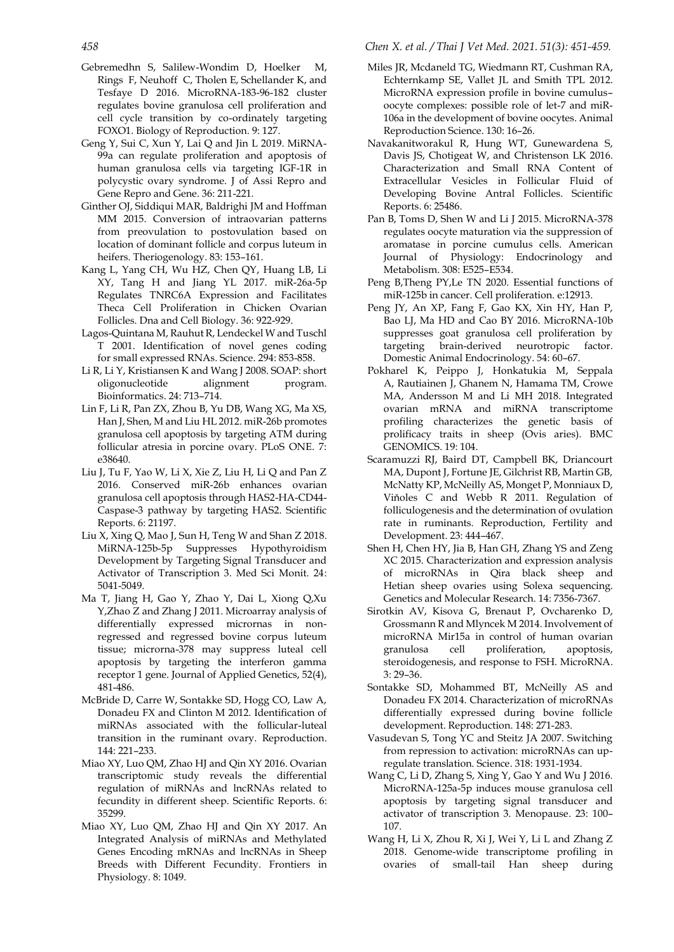- Gebremedhn S, Salilew-Wondim D, Hoelker M, Rings F, Neuhoff C, Tholen E, Schellander K, and Tesfaye D 2016. MicroRNA-183-96-182 cluster regulates bovine granulosa cell proliferation and cell cycle transition by co-ordinately targeting FOXO1. Biology of Reproduction. 9: 127.
- Geng Y, Sui C, Xun Y, Lai Q and Jin L 2019. MiRNA-99a can regulate proliferation and apoptosis of human granulosa cells via targeting IGF-1R in polycystic ovary syndrome. J of Assi Repro and Gene Repro and Gene. 36: 211-221.
- Ginther OJ, Siddiqui MAR, Baldrighi JM and Hoffman MM 2015. Conversion of intraovarian patterns from preovulation to postovulation based on location of dominant follicle and corpus luteum in heifers. Theriogenology. 83: 153–161.
- [Kang L,](http://apps.webofknowledge.com/OneClickSearch.do?product=UA&search_mode=OneClickSearch&SID=6BUxmMq7GmAK1ndjOZ9&field=AU&value=Kang,%20L&ut=105040&pos=1&excludeEventConfig=ExcludeIfFromFullRecPage) [Yang CH,](http://apps.webofknowledge.com/OneClickSearch.do?product=UA&search_mode=OneClickSearch&SID=6BUxmMq7GmAK1ndjOZ9&field=AU&value=Yang,%20CH&ut=1653377&pos=2&excludeEventConfig=ExcludeIfFromFullRecPage) [Wu HZ,](http://apps.webofknowledge.com/OneClickSearch.do?product=UA&search_mode=OneClickSearch&SID=6BUxmMq7GmAK1ndjOZ9&field=AU&value=Wu,%20HZ&ut=401046&pos=3&excludeEventConfig=ExcludeIfFromFullRecPage) [Chen QY,](http://apps.webofknowledge.com/OneClickSearch.do?product=UA&search_mode=OneClickSearch&SID=6BUxmMq7GmAK1ndjOZ9&field=AU&value=Chen,%20QY&ut=916759&pos=4&excludeEventConfig=ExcludeIfFromFullRecPage) [Huang LB,](http://apps.webofknowledge.com/OneClickSearch.do?product=UA&search_mode=OneClickSearch&SID=6BUxmMq7GmAK1ndjOZ9&field=AU&value=Huang,%20LB&ut=499147&pos=5&excludeEventConfig=ExcludeIfFromFullRecPage) [Li](http://apps.webofknowledge.com/OneClickSearch.do?product=UA&search_mode=OneClickSearch&SID=6BUxmMq7GmAK1ndjOZ9&field=AU&value=Li,%20XY&ut=3066112&pos=6&excludeEventConfig=ExcludeIfFromFullRecPage)  [XY,](http://apps.webofknowledge.com/OneClickSearch.do?product=UA&search_mode=OneClickSearch&SID=6BUxmMq7GmAK1ndjOZ9&field=AU&value=Li,%20XY&ut=3066112&pos=6&excludeEventConfig=ExcludeIfFromFullRecPage) [Tang H](http://apps.webofknowledge.com/OneClickSearch.do?product=UA&search_mode=OneClickSearch&SID=6BUxmMq7GmAK1ndjOZ9&field=AU&value=Tang,%20H&ut=27724487&pos=7&excludeEventConfig=ExcludeIfFromFullRecPage) and [Jiang YL](http://apps.webofknowledge.com/OneClickSearch.do?product=UA&search_mode=OneClickSearch&SID=6BUxmMq7GmAK1ndjOZ9&field=AU&value=Jiang,%20YL&ut=354300&pos=8&excludeEventConfig=ExcludeIfFromFullRecPage) 2017. miR-26a-5p Regulates TNRC6A Expression and Facilitates Theca Cell Proliferation in Chicken Ovarian Follicles. Dna and Cell Biology. 36: 922-929.
- Lagos-Quintana M, [Rauhut R,](http://apps.webofknowledge.com/OneClickSearch.do?product=UA&search_mode=OneClickSearch&SID=5BOOKnZN1XDY2EJmm9H&field=AU&value=Rauhut,%20R&ut=6671723&pos=2&excludeEventConfig=ExcludeIfFromFullRecPage) Lendeckel W and Tuschl T 2001. Identification of novel genes coding for small expressed RNAs. Science. 294: 853-858.
- Li R, Li Y, Kristiansen K and Wang J 2008. SOAP: short oligonucleotide alignment program. Bioinformatics. 24: 713–714.
- Lin F, Li R, Pan ZX, Zhou B, Yu DB, Wang XG, Ma XS, Han J, Shen, M and Liu HL 2012. miR-26b promotes granulosa cell apoptosis by targeting ATM during follicular atresia in porcine ovary. PLoS ONE. 7: e38640.
- Liu J, Tu F, Yao W, Li X, Xie Z, Liu H, Li Q and Pan Z 2016. Conserved miR-26b enhances ovarian granulosa cell apoptosis through HAS2-HA-CD44- Caspase-3 pathway by targeting HAS2. Scientific Reports. 6: 21197.
- Liu X, Xing Q, Mao J, Sun H, Teng W and Shan Z 2018. MiRNA-125b-5p Suppresses Hypothyroidism Development by Targeting Signal Transducer and Activator of Transcription 3. Med Sci Monit. 24: 5041-5049.
- Ma T, Jiang H, Gao Y, Zhao Y, Dai L, Xiong Q,Xu Y,Zhao Z and Zhang J 2011. Microarray analysis of differentially expressed micrornas in nonregressed and regressed bovine corpus luteum tissue; microrna-378 may suppress luteal cell apoptosis by targeting the interferon gamma receptor 1 gene. Journal of Applied Genetics, 52(4), 481-486.
- McBride D, Carre W, Sontakke SD, Hogg CO, Law A, Donadeu FX and Clinton M 2012. Identification of miRNAs associated with the follicular-luteal transition in the ruminant ovary. Reproduction. 144: 221–233.
- [Miao XY,](http://apps.webofknowledge.com/OneClickSearch.do?product=UA&search_mode=OneClickSearch&SID=6DXy3oMc8DF3VLTBW33&field=AU&value=Miao,%20XY&ut=374787&pos=1&excludeEventConfig=ExcludeIfFromFullRecPage) [Luo QM,](http://apps.webofknowledge.com/OneClickSearch.do?product=UA&search_mode=OneClickSearch&SID=6DXy3oMc8DF3VLTBW33&field=AU&value=Luo,%20QM&ut=4165332&pos=2&excludeEventConfig=ExcludeIfFromFullRecPage) [Zhao HJ](http://apps.webofknowledge.com/OneClickSearch.do?product=UA&search_mode=OneClickSearch&SID=6DXy3oMc8DF3VLTBW33&field=AU&value=Zhao,%20HJ&ut=209293&pos=3&excludeEventConfig=ExcludeIfFromFullRecPage) an[d Qin XY](http://apps.webofknowledge.com/OneClickSearch.do?product=UA&search_mode=OneClickSearch&SID=6DXy3oMc8DF3VLTBW33&field=AU&value=Qin,%20XY&ut=1257302&pos=4&excludeEventConfig=ExcludeIfFromFullRecPage) 2016. Ovarian transcriptomic study reveals the differential regulation of miRNAs and lncRNAs related to fecundity in different sheep. Scientific Reports. 6: 35299.
- [Miao XY,](http://apps.webofknowledge.com/OneClickSearch.do?product=UA&search_mode=OneClickSearch&SID=6DXy3oMc8DF3VLTBW33&field=AU&value=Miao,%20XY&ut=374787&pos=1&excludeEventConfig=ExcludeIfFromFullRecPage) [Luo QM,](http://apps.webofknowledge.com/OneClickSearch.do?product=UA&search_mode=OneClickSearch&SID=6DXy3oMc8DF3VLTBW33&field=AU&value=Luo,%20QM&ut=4165332&pos=2&excludeEventConfig=ExcludeIfFromFullRecPage) [Zhao HJ](http://apps.webofknowledge.com/OneClickSearch.do?product=UA&search_mode=OneClickSearch&SID=6DXy3oMc8DF3VLTBW33&field=AU&value=Zhao,%20HJ&ut=209293&pos=3&excludeEventConfig=ExcludeIfFromFullRecPage) and [Qin XY](http://apps.webofknowledge.com/OneClickSearch.do?product=UA&search_mode=OneClickSearch&SID=6DXy3oMc8DF3VLTBW33&field=AU&value=Qin,%20XY&ut=1257302&pos=4&excludeEventConfig=ExcludeIfFromFullRecPage) 2017. An Integrated Analysis of miRNAs and Methylated Genes Encoding mRNAs and lncRNAs in Sheep Breeds with Different Fecundity. [Frontiers in](https://www.frontiersin.org/journals/physiology)  [Physiology.](https://www.frontiersin.org/journals/physiology) 8: 1049.
- Miles JR, Mcdaneld TG, Wiedmann RT, Cushman RA, Echternkamp SE, Vallet JL and Smith TPL 2012. MicroRNA expression profile in bovine cumulus– oocyte complexes: possible role of let-7 and miR-106a in the development of bovine oocytes. Animal Reproduction Science. 130: 16–26.
- Navakanitworakul R, Hung WT, Gunewardena S, Davis JS, Chotigeat W, and Christenson LK 2016. Characterization and Small RNA Content of Extracellular Vesicles in Follicular Fluid of Developing Bovine Antral Follicles. Scientific Reports. 6: 25486.
- Pan B, Toms D, Shen W and Li J 2015. MicroRNA-378 regulates oocyte maturation via the suppression of aromatase in porcine cumulus cells. American Journal of Physiology: Endocrinology and Metabolism. 308: E525–E534.
- Peng B,Theng PY,Le TN 2020. Essential functions of miR-125b in cancer. Cell proliferation. e:12913.
- Peng JY, An XP, Fang F, Gao KX, Xin HY, Han P, Bao LJ, Ma HD and Cao BY 2016. MicroRNA-10b suppresses goat granulosa cell proliferation by targeting brain-derived neurotropic factor. Domestic Animal Endocrinology. 54: 60–67.
- [Pokharel K,](http://apps.webofknowledge.com/OneClickSearch.do?product=UA&search_mode=OneClickSearch&SID=6DXy3oMc8DF3VLTBW33&field=AU&value=Pokharel,%20K&ut=6509339&pos=1&excludeEventConfig=ExcludeIfFromFullRecPage) [Peippo J,](http://apps.webofknowledge.com/OneClickSearch.do?product=UA&search_mode=OneClickSearch&SID=6DXy3oMc8DF3VLTBW33&field=AU&value=Peippo,%20J&ut=1340948&pos=2&excludeEventConfig=ExcludeIfFromFullRecPage) [Honkatukia M,](http://apps.webofknowledge.com/OneClickSearch.do?product=UA&search_mode=OneClickSearch&SID=6DXy3oMc8DF3VLTBW33&field=AU&value=Honkatukia,%20M&ut=3322563&pos=3&excludeEventConfig=ExcludeIfFromFullRecPage) [Seppala](http://apps.webofknowledge.com/OneClickSearch.do?product=UA&search_mode=OneClickSearch&SID=6DXy3oMc8DF3VLTBW33&field=AU&value=Seppala,%20A&ut=4673953&pos=4&excludeEventConfig=ExcludeIfFromFullRecPage)  [A,](http://apps.webofknowledge.com/OneClickSearch.do?product=UA&search_mode=OneClickSearch&SID=6DXy3oMc8DF3VLTBW33&field=AU&value=Seppala,%20A&ut=4673953&pos=4&excludeEventConfig=ExcludeIfFromFullRecPage) [Rautiainen J,](http://apps.webofknowledge.com/OneClickSearch.do?product=UA&search_mode=OneClickSearch&SID=6DXy3oMc8DF3VLTBW33&field=AU&value=Rautiainen,%20J&ut=15869127&pos=5&excludeEventConfig=ExcludeIfFromFullRecPage) [Ghanem N,](http://apps.webofknowledge.com/OneClickSearch.do?product=UA&search_mode=OneClickSearch&SID=6DXy3oMc8DF3VLTBW33&field=AU&value=Ghanem,%20N&ut=1039005&pos=6&excludeEventConfig=ExcludeIfFromFullRecPage) [Hamama TM,](http://apps.webofknowledge.com/OneClickSearch.do?product=UA&search_mode=OneClickSearch&SID=6DXy3oMc8DF3VLTBW33&field=AU&value=Hamama,%20TM&ut=13828620&pos=7&excludeEventConfig=ExcludeIfFromFullRecPage) [Crowe](http://apps.webofknowledge.com/OneClickSearch.do?product=UA&search_mode=OneClickSearch&SID=6DXy3oMc8DF3VLTBW33&field=AU&value=Crowe,%20MA&ut=160647&pos=8&excludeEventConfig=ExcludeIfFromFullRecPage)  [MA,](http://apps.webofknowledge.com/OneClickSearch.do?product=UA&search_mode=OneClickSearch&SID=6DXy3oMc8DF3VLTBW33&field=AU&value=Crowe,%20MA&ut=160647&pos=8&excludeEventConfig=ExcludeIfFromFullRecPage) [Andersson M](http://apps.webofknowledge.com/OneClickSearch.do?product=UA&search_mode=OneClickSearch&SID=6DXy3oMc8DF3VLTBW33&field=AU&value=Andersson,%20M&ut=408819&pos=9&excludeEventConfig=ExcludeIfFromFullRecPage) and [Li MH](http://apps.webofknowledge.com/OneClickSearch.do?product=UA&search_mode=OneClickSearch&SID=6DXy3oMc8DF3VLTBW33&field=AU&value=Li,%20MH&ut=1637948&pos=10&excludeEventConfig=ExcludeIfFromFullRecPage) 2018. Integrated ovarian mRNA and miRNA transcriptome profiling characterizes the genetic basis of prolificacy traits in sheep (Ovis aries). BMC GENOMICS. 19: 104.
- Scaramuzzi RJ, Baird DT, Campbell BK, Driancourt MA, Dupont J, Fortune JE, Gilchrist RB, Martin GB, McNatty KP, McNeilly AS, Monget P, Monniaux D, Viňoles C and Webb R 2011. Regulation of folliculogenesis and the determination of ovulation rate in ruminants. Reproduction, Fertility and Development. 23: 444–467.
- Shen H, Chen HY, Jia B, Han GH, Zhang YS and Zeng XC 2015. Characterization and expression analysis of microRNAs in Qira black sheep and Hetian sheep ovaries using Solexa sequencing. Genetics and Molecular Research. 14: 7356-7367.
- Sirotkin AV, Kisova G, Brenaut P, Ovcharenko D, Grossmann R and Mlyncek M 2014. Involvement of microRNA Mir15a in control of human ovarian granulosa cell proliferation, apoptosis, steroidogenesis, and response to FSH. MicroRNA. 3: 29–36.
- [Sontakke SD,](http://apps.webofknowledge.com/OneClickSearch.do?product=UA&search_mode=OneClickSearch&SID=6CBAdQgokGgxMS9IjEX&field=AU&value=Sontakke,%20SD&ut=2568413&pos=1&excludeEventConfig=ExcludeIfFromFullRecPage) [Mohammed BT,](http://apps.webofknowledge.com/OneClickSearch.do?product=UA&search_mode=OneClickSearch&SID=6CBAdQgokGgxMS9IjEX&field=AU&value=Mohammed,%20BT&ut=8774722&pos=2&excludeEventConfig=ExcludeIfFromFullRecPage) [McNeilly AS](http://apps.webofknowledge.com/OneClickSearch.do?product=UA&search_mode=OneClickSearch&SID=6CBAdQgokGgxMS9IjEX&field=AU&value=McNeilly,%20AS&ut=17095&pos=3&excludeEventConfig=ExcludeIfFromFullRecPage) and [Donadeu FX](http://apps.webofknowledge.com/OneClickSearch.do?product=UA&search_mode=OneClickSearch&SID=6CBAdQgokGgxMS9IjEX&field=AU&value=Donadeu,%20FX&ut=1137113&pos=4&excludeEventConfig=ExcludeIfFromFullRecPage) 2014. Characterization of microRNAs differentially expressed during bovine follicle development. Reproduction. 148: 271-283.
- Vasudevan S, Tong YC and Steitz JA 2007. Switching from repression to activation: microRNAs can upregulate translation. Science. 318: 1931-1934.
- Wang C, Li D, Zhang S, Xing Y, Gao Y and Wu J 2016. MicroRNA-125a-5p induces mouse granulosa cell apoptosis by targeting signal transducer and activator of transcription 3. Menopause. 23: 100– 107.
- [Wang H,](http://apps.webofknowledge.com/OneClickSearch.do?product=UA&search_mode=OneClickSearch&excludeEventConfig=ExcludeIfFromFullRecPage&SID=8FdlkvsINq2NxIqgH3M&field=AU&value=Wang%2C+Han) [Li X,](http://apps.webofknowledge.com/OneClickSearch.do?product=UA&search_mode=OneClickSearch&excludeEventConfig=ExcludeIfFromFullRecPage&SID=8FdlkvsINq2NxIqgH3M&field=AU&value=Li%2C+Xiangyun) [Zhou R,](http://apps.webofknowledge.com/OneClickSearch.do?product=UA&search_mode=OneClickSearch&excludeEventConfig=ExcludeIfFromFullRecPage&SID=8FdlkvsINq2NxIqgH3M&field=AU&value=Zhou%2C+Rongyan) [Xi J,](http://apps.webofknowledge.com/OneClickSearch.do?product=UA&search_mode=OneClickSearch&excludeEventConfig=ExcludeIfFromFullRecPage&SID=8FdlkvsINq2NxIqgH3M&field=AU&value=Xi%2C+Jianzhong) [Wei Y,](http://apps.webofknowledge.com/OneClickSearch.do?product=UA&search_mode=OneClickSearch&excludeEventConfig=ExcludeIfFromFullRecPage&SID=8FdlkvsINq2NxIqgH3M&field=AU&value=Wei%2C+Yanhui) [Li L](http://apps.webofknowledge.com/OneClickSearch.do?product=UA&search_mode=OneClickSearch&excludeEventConfig=ExcludeIfFromFullRecPage&SID=8FdlkvsINq2NxIqgH3M&field=AU&value=Li%2C+Lanhui) and [Zhang Z](http://apps.webofknowledge.com/OneClickSearch.do?product=UA&search_mode=OneClickSearch&excludeEventConfig=ExcludeIfFromFullRecPage&SID=8FdlkvsINq2NxIqgH3M&field=AU&value=Zhang%2C+Zhenhong) 2018. Genome-wide transcriptome profiling in ovaries of small-tail Han sheep during